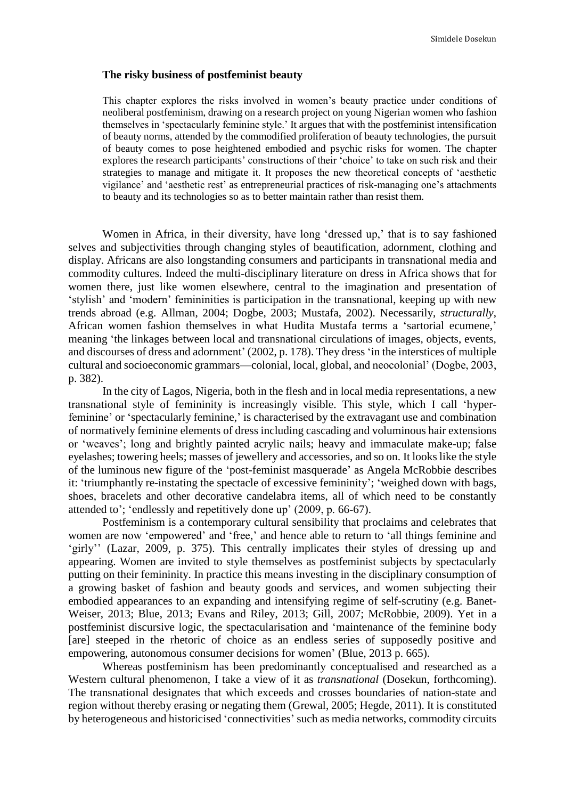### **The risky business of postfeminist beauty**

This chapter explores the risks involved in women's beauty practice under conditions of neoliberal postfeminism, drawing on a research project on young Nigerian women who fashion themselves in 'spectacularly feminine style.' It argues that with the postfeminist intensification of beauty norms, attended by the commodified proliferation of beauty technologies, the pursuit of beauty comes to pose heightened embodied and psychic risks for women. The chapter explores the research participants' constructions of their 'choice' to take on such risk and their strategies to manage and mitigate it. It proposes the new theoretical concepts of 'aesthetic vigilance' and 'aesthetic rest' as entrepreneurial practices of risk-managing one's attachments to beauty and its technologies so as to better maintain rather than resist them.

Women in Africa, in their diversity, have long 'dressed up,' that is to say fashioned selves and subjectivities through changing styles of beautification, adornment, clothing and display. Africans are also longstanding consumers and participants in transnational media and commodity cultures. Indeed the multi-disciplinary literature on dress in Africa shows that for women there, just like women elsewhere, central to the imagination and presentation of 'stylish' and 'modern' femininities is participation in the transnational, keeping up with new trends abroad (e.g. Allman, 2004; Dogbe, 2003; Mustafa, 2002). Necessarily, *structurally*, African women fashion themselves in what Hudita Mustafa terms a 'sartorial ecumene,' meaning 'the linkages between local and transnational circulations of images, objects, events, and discourses of dress and adornment' (2002, p. 178). They dress 'in the interstices of multiple cultural and socioeconomic grammars—colonial, local, global, and neocolonial' (Dogbe, 2003, p. 382).

In the city of Lagos, Nigeria, both in the flesh and in local media representations, a new transnational style of femininity is increasingly visible. This style, which I call 'hyperfeminine' or 'spectacularly feminine,' is characterised by the extravagant use and combination of normatively feminine elements of dress including cascading and voluminous hair extensions or 'weaves'; long and brightly painted acrylic nails; heavy and immaculate make-up; false eyelashes; towering heels; masses of jewellery and accessories, and so on. It looks like the style of the luminous new figure of the 'post-feminist masquerade' as Angela McRobbie describes it: 'triumphantly re-instating the spectacle of excessive femininity'; 'weighed down with bags, shoes, bracelets and other decorative candelabra items, all of which need to be constantly attended to'; 'endlessly and repetitively done up' (2009, p. 66-67).

Postfeminism is a contemporary cultural sensibility that proclaims and celebrates that women are now 'empowered' and 'free,' and hence able to return to 'all things feminine and 'girly'' (Lazar, 2009, p. 375). This centrally implicates their styles of dressing up and appearing. Women are invited to style themselves as postfeminist subjects by spectacularly putting on their femininity. In practice this means investing in the disciplinary consumption of a growing basket of fashion and beauty goods and services, and women subjecting their embodied appearances to an expanding and intensifying regime of self-scrutiny (e.g. Banet-Weiser, 2013; Blue, 2013; Evans and Riley, 2013; Gill, 2007; McRobbie, 2009). Yet in a postfeminist discursive logic, the spectacularisation and 'maintenance of the feminine body [are] steeped in the rhetoric of choice as an endless series of supposedly positive and empowering, autonomous consumer decisions for women' (Blue, 2013 p. 665).

Whereas postfeminism has been predominantly conceptualised and researched as a Western cultural phenomenon, I take a view of it as *transnational* (Dosekun, forthcoming). The transnational designates that which exceeds and crosses boundaries of nation-state and region without thereby erasing or negating them (Grewal, 2005; Hegde, 2011). It is constituted by heterogeneous and historicised 'connectivities' such as media networks, commodity circuits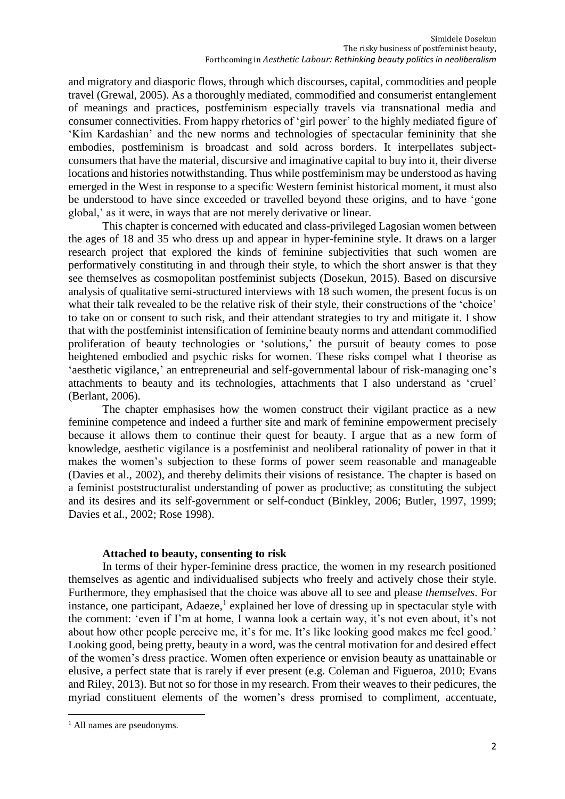and migratory and diasporic flows, through which discourses, capital, commodities and people travel (Grewal, 2005). As a thoroughly mediated, commodified and consumerist entanglement of meanings and practices, postfeminism especially travels via transnational media and consumer connectivities. From happy rhetorics of 'girl power' to the highly mediated figure of 'Kim Kardashian' and the new norms and technologies of spectacular femininity that she embodies, postfeminism is broadcast and sold across borders. It interpellates subjectconsumers that have the material, discursive and imaginative capital to buy into it, their diverse locations and histories notwithstanding. Thus while postfeminism may be understood as having emerged in the West in response to a specific Western feminist historical moment, it must also be understood to have since exceeded or travelled beyond these origins, and to have 'gone global,' as it were, in ways that are not merely derivative or linear.

This chapter is concerned with educated and class-privileged Lagosian women between the ages of 18 and 35 who dress up and appear in hyper-feminine style. It draws on a larger research project that explored the kinds of feminine subjectivities that such women are performatively constituting in and through their style, to which the short answer is that they see themselves as cosmopolitan postfeminist subjects (Dosekun, 2015). Based on discursive analysis of qualitative semi-structured interviews with 18 such women, the present focus is on what their talk revealed to be the relative risk of their style, their constructions of the 'choice' to take on or consent to such risk, and their attendant strategies to try and mitigate it. I show that with the postfeminist intensification of feminine beauty norms and attendant commodified proliferation of beauty technologies or 'solutions,' the pursuit of beauty comes to pose heightened embodied and psychic risks for women. These risks compel what I theorise as 'aesthetic vigilance,' an entrepreneurial and self-governmental labour of risk-managing one's attachments to beauty and its technologies, attachments that I also understand as 'cruel' (Berlant, 2006).

The chapter emphasises how the women construct their vigilant practice as a new feminine competence and indeed a further site and mark of feminine empowerment precisely because it allows them to continue their quest for beauty. I argue that as a new form of knowledge, aesthetic vigilance is a postfeminist and neoliberal rationality of power in that it makes the women's subjection to these forms of power seem reasonable and manageable (Davies et al., 2002), and thereby delimits their visions of resistance. The chapter is based on a feminist poststructuralist understanding of power as productive; as constituting the subject and its desires and its self-government or self-conduct (Binkley, 2006; Butler, 1997, 1999; Davies et al., 2002; Rose 1998).

## **Attached to beauty, consenting to risk**

In terms of their hyper-feminine dress practice, the women in my research positioned themselves as agentic and individualised subjects who freely and actively chose their style. Furthermore, they emphasised that the choice was above all to see and please *themselves*. For instance, one participant, Adaeze,<sup>1</sup> explained her love of dressing up in spectacular style with the comment: 'even if I'm at home, I wanna look a certain way, it's not even about, it's not about how other people perceive me, it's for me. It's like looking good makes me feel good.' Looking good, being pretty, beauty in a word, was the central motivation for and desired effect of the women's dress practice. Women often experience or envision beauty as unattainable or elusive, a perfect state that is rarely if ever present (e.g. Coleman and Figueroa, 2010; Evans and Riley, 2013). But not so for those in my research. From their weaves to their pedicures, the myriad constituent elements of the women's dress promised to compliment, accentuate,

**.** 

<sup>&</sup>lt;sup>1</sup> All names are pseudonyms.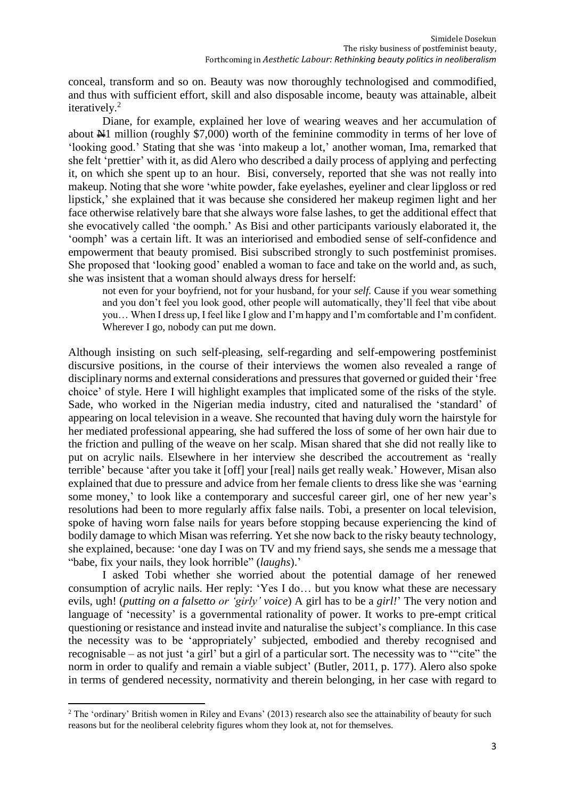conceal, transform and so on. Beauty was now thoroughly technologised and commodified, and thus with sufficient effort, skill and also disposable income, beauty was attainable, albeit iteratively. 2

Diane, for example, explained her love of wearing weaves and her accumulation of about N1 million (roughly \$7,000) worth of the feminine commodity in terms of her love of 'looking good.' Stating that she was 'into makeup a lot,' another woman, Ima, remarked that she felt 'prettier' with it, as did Alero who described a daily process of applying and perfecting it, on which she spent up to an hour. Bisi, conversely, reported that she was not really into makeup. Noting that she wore 'white powder, fake eyelashes, eyeliner and clear lipgloss or red lipstick,' she explained that it was because she considered her makeup regimen light and her face otherwise relatively bare that she always wore false lashes, to get the additional effect that she evocatively called 'the oomph.' As Bisi and other participants variously elaborated it, the 'oomph' was a certain lift. It was an interiorised and embodied sense of self-confidence and empowerment that beauty promised. Bisi subscribed strongly to such postfeminist promises. She proposed that 'looking good' enabled a woman to face and take on the world and, as such, she was insistent that a woman should always dress for herself:

not even for your boyfriend, not for your husband, for your *self.* Cause if you wear something and you don't feel you look good, other people will automatically, they'll feel that vibe about you… When I dress up, I feel like I glow and I'm happy and I'm comfortable and I'm confident. Wherever I go, nobody can put me down.

Although insisting on such self-pleasing, self-regarding and self-empowering postfeminist discursive positions, in the course of their interviews the women also revealed a range of disciplinary norms and external considerations and pressures that governed or guided their 'free choice' of style. Here I will highlight examples that implicated some of the risks of the style. Sade, who worked in the Nigerian media industry, cited and naturalised the 'standard' of appearing on local television in a weave. She recounted that having duly worn the hairstyle for her mediated professional appearing, she had suffered the loss of some of her own hair due to the friction and pulling of the weave on her scalp. Misan shared that she did not really like to put on acrylic nails. Elsewhere in her interview she described the accoutrement as 'really terrible' because 'after you take it [off] your [real] nails get really weak.' However, Misan also explained that due to pressure and advice from her female clients to dress like she was 'earning some money,' to look like a contemporary and succesful career girl, one of her new year's resolutions had been to more regularly affix false nails. Tobi, a presenter on local television, spoke of having worn false nails for years before stopping because experiencing the kind of bodily damage to which Misan was referring. Yet she now back to the risky beauty technology, she explained, because: 'one day I was on TV and my friend says, she sends me a message that "babe, fix your nails, they look horrible" (*laughs*).'

I asked Tobi whether she worried about the potential damage of her renewed consumption of acrylic nails. Her reply: 'Yes I do… but you know what these are necessary evils, ugh! (*putting on a falsetto or 'girly' voice*) A girl has to be a *girl!*' The very notion and language of 'necessity' is a governmental rationality of power. It works to pre-empt critical questioning or resistance and instead invite and naturalise the subject's compliance. In this case the necessity was to be 'appropriately' subjected, embodied and thereby recognised and recognisable – as not just 'a girl' but a girl of a particular sort. The necessity was to '"cite" the norm in order to qualify and remain a viable subject' (Butler, 2011, p. 177). Alero also spoke in terms of gendered necessity, normativity and therein belonging, in her case with regard to

**<sup>.</sup>** <sup>2</sup> The 'ordinary' British women in Riley and Evans' (2013) research also see the attainability of beauty for such reasons but for the neoliberal celebrity figures whom they look at, not for themselves.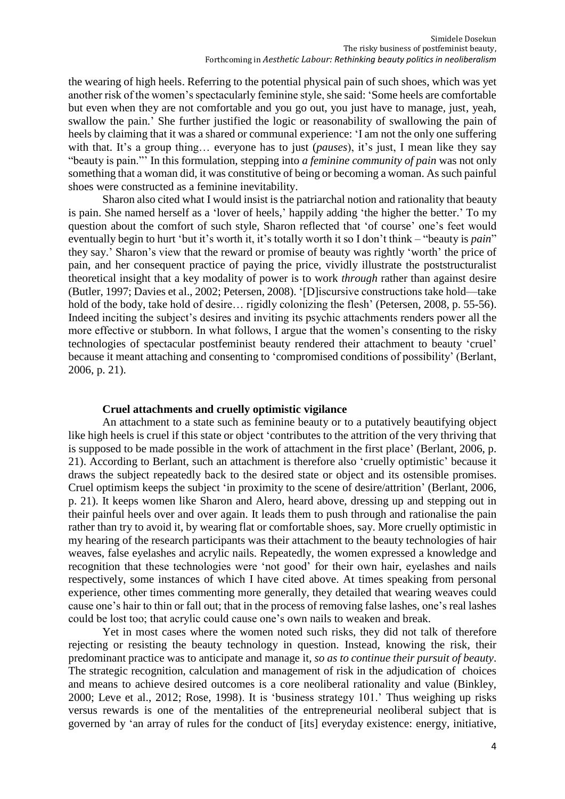the wearing of high heels. Referring to the potential physical pain of such shoes, which was yet another risk of the women's spectacularly feminine style, she said: 'Some heels are comfortable but even when they are not comfortable and you go out, you just have to manage, just, yeah, swallow the pain.' She further justified the logic or reasonability of swallowing the pain of heels by claiming that it was a shared or communal experience: 'I am not the only one suffering with that. It's a group thing… everyone has to just (*pauses*), it's just, I mean like they say "beauty is pain."' In this formulation, stepping into *a feminine community of pain* was not only something that a woman did, it was constitutive of being or becoming a woman. As such painful shoes were constructed as a feminine inevitability.

Sharon also cited what I would insist is the patriarchal notion and rationality that beauty is pain. She named herself as a 'lover of heels,' happily adding 'the higher the better.' To my question about the comfort of such style, Sharon reflected that 'of course' one's feet would eventually begin to hurt 'but it's worth it, it's totally worth it so I don't think – "beauty is *pain*" they say.' Sharon's view that the reward or promise of beauty was rightly 'worth' the price of pain, and her consequent practice of paying the price, vividly illustrate the poststructuralist theoretical insight that a key modality of power is to work *through* rather than against desire (Butler, 1997; Davies et al., 2002; Petersen, 2008). '[D]iscursive constructions take hold—take hold of the body, take hold of desire... rigidly colonizing the flesh' (Petersen, 2008, p. 55-56). Indeed inciting the subject's desires and inviting its psychic attachments renders power all the more effective or stubborn. In what follows, I argue that the women's consenting to the risky technologies of spectacular postfeminist beauty rendered their attachment to beauty 'cruel' because it meant attaching and consenting to 'compromised conditions of possibility' (Berlant, 2006, p. 21).

### **Cruel attachments and cruelly optimistic vigilance**

An attachment to a state such as feminine beauty or to a putatively beautifying object like high heels is cruel if this state or object 'contributes to the attrition of the very thriving that is supposed to be made possible in the work of attachment in the first place' (Berlant, 2006, p. 21). According to Berlant, such an attachment is therefore also 'cruelly optimistic' because it draws the subject repeatedly back to the desired state or object and its ostensible promises. Cruel optimism keeps the subject 'in proximity to the scene of desire/attrition' (Berlant, 2006, p. 21). It keeps women like Sharon and Alero, heard above, dressing up and stepping out in their painful heels over and over again. It leads them to push through and rationalise the pain rather than try to avoid it, by wearing flat or comfortable shoes, say. More cruelly optimistic in my hearing of the research participants was their attachment to the beauty technologies of hair weaves, false eyelashes and acrylic nails. Repeatedly, the women expressed a knowledge and recognition that these technologies were 'not good' for their own hair, eyelashes and nails respectively, some instances of which I have cited above. At times speaking from personal experience, other times commenting more generally, they detailed that wearing weaves could cause one's hair to thin or fall out; that in the process of removing false lashes, one's real lashes could be lost too; that acrylic could cause one's own nails to weaken and break.

Yet in most cases where the women noted such risks, they did not talk of therefore rejecting or resisting the beauty technology in question. Instead, knowing the risk, their predominant practice was to anticipate and manage it, *so as to continue their pursuit of beauty*. The strategic recognition, calculation and management of risk in the adjudication of choices and means to achieve desired outcomes is a core neoliberal rationality and value (Binkley, 2000; Leve et al., 2012; Rose, 1998). It is 'business strategy 101.' Thus weighing up risks versus rewards is one of the mentalities of the entrepreneurial neoliberal subject that is governed by 'an array of rules for the conduct of [its] everyday existence: energy, initiative,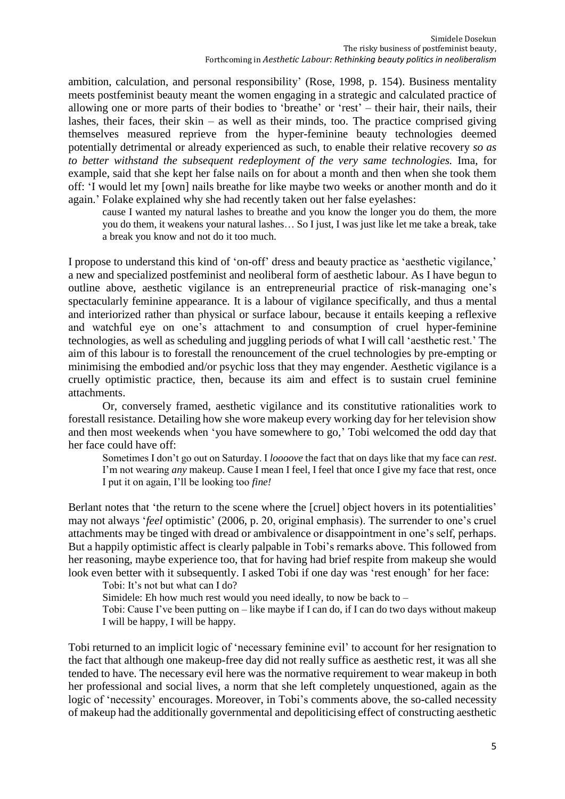ambition, calculation, and personal responsibility' (Rose, 1998, p. 154). Business mentality meets postfeminist beauty meant the women engaging in a strategic and calculated practice of allowing one or more parts of their bodies to 'breathe' or 'rest' – their hair, their nails, their lashes, their faces, their skin – as well as their minds, too. The practice comprised giving themselves measured reprieve from the hyper-feminine beauty technologies deemed potentially detrimental or already experienced as such, to enable their relative recovery *so as to better withstand the subsequent redeployment of the very same technologies.* Ima, for example, said that she kept her false nails on for about a month and then when she took them off: 'I would let my [own] nails breathe for like maybe two weeks or another month and do it again.' Folake explained why she had recently taken out her false eyelashes:

cause I wanted my natural lashes to breathe and you know the longer you do them, the more you do them, it weakens your natural lashes… So I just, I was just like let me take a break, take a break you know and not do it too much.

I propose to understand this kind of 'on-off' dress and beauty practice as 'aesthetic vigilance,' a new and specialized postfeminist and neoliberal form of aesthetic labour. As I have begun to outline above, aesthetic vigilance is an entrepreneurial practice of risk-managing one's spectacularly feminine appearance. It is a labour of vigilance specifically, and thus a mental and interiorized rather than physical or surface labour, because it entails keeping a reflexive and watchful eye on one's attachment to and consumption of cruel hyper-feminine technologies, as well as scheduling and juggling periods of what I will call 'aesthetic rest.' The aim of this labour is to forestall the renouncement of the cruel technologies by pre-empting or minimising the embodied and/or psychic loss that they may engender. Aesthetic vigilance is a cruelly optimistic practice, then, because its aim and effect is to sustain cruel feminine attachments.

Or, conversely framed, aesthetic vigilance and its constitutive rationalities work to forestall resistance. Detailing how she wore makeup every working day for her television show and then most weekends when 'you have somewhere to go,' Tobi welcomed the odd day that her face could have off:

Sometimes I don't go out on Saturday. I *loooove* the fact that on days like that my face can *rest*. I'm not wearing *any* makeup. Cause I mean I feel, I feel that once I give my face that rest, once I put it on again, I'll be looking too *fine!*

Berlant notes that 'the return to the scene where the [cruel] object hovers in its potentialities' may not always '*feel* optimistic' (2006, p. 20, original emphasis). The surrender to one's cruel attachments may be tinged with dread or ambivalence or disappointment in one's self, perhaps. But a happily optimistic affect is clearly palpable in Tobi's remarks above. This followed from her reasoning, maybe experience too, that for having had brief respite from makeup she would look even better with it subsequently. I asked Tobi if one day was 'rest enough' for her face:

Tobi: It's not but what can I do?

Simidele: Eh how much rest would you need ideally, to now be back to –

Tobi: Cause I've been putting on – like maybe if I can do, if I can do two days without makeup I will be happy, I will be happy.

Tobi returned to an implicit logic of 'necessary feminine evil' to account for her resignation to the fact that although one makeup-free day did not really suffice as aesthetic rest, it was all she tended to have. The necessary evil here was the normative requirement to wear makeup in both her professional and social lives, a norm that she left completely unquestioned, again as the logic of 'necessity' encourages. Moreover, in Tobi's comments above, the so-called necessity of makeup had the additionally governmental and depoliticising effect of constructing aesthetic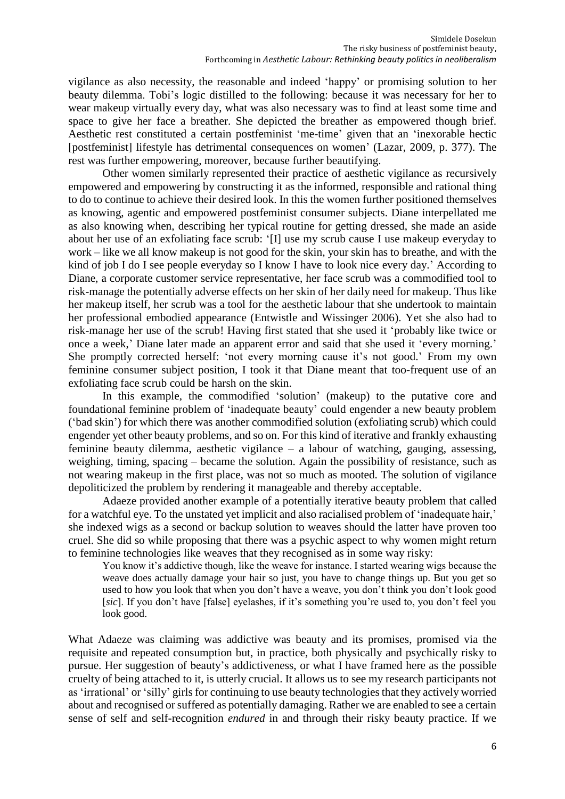vigilance as also necessity, the reasonable and indeed 'happy' or promising solution to her beauty dilemma. Tobi's logic distilled to the following: because it was necessary for her to wear makeup virtually every day, what was also necessary was to find at least some time and space to give her face a breather. She depicted the breather as empowered though brief. Aesthetic rest constituted a certain postfeminist 'me-time' given that an 'inexorable hectic [postfeminist] lifestyle has detrimental consequences on women' (Lazar, 2009, p. 377). The rest was further empowering, moreover, because further beautifying.

Other women similarly represented their practice of aesthetic vigilance as recursively empowered and empowering by constructing it as the informed, responsible and rational thing to do to continue to achieve their desired look. In this the women further positioned themselves as knowing, agentic and empowered postfeminist consumer subjects. Diane interpellated me as also knowing when, describing her typical routine for getting dressed, she made an aside about her use of an exfoliating face scrub: '[I] use my scrub cause I use makeup everyday to work – like we all know makeup is not good for the skin, your skin has to breathe, and with the kind of job I do I see people everyday so I know I have to look nice every day.' According to Diane, a corporate customer service representative, her face scrub was a commodified tool to risk-manage the potentially adverse effects on her skin of her daily need for makeup. Thus like her makeup itself, her scrub was a tool for the aesthetic labour that she undertook to maintain her professional embodied appearance (Entwistle and Wissinger 2006). Yet she also had to risk-manage her use of the scrub! Having first stated that she used it 'probably like twice or once a week,' Diane later made an apparent error and said that she used it 'every morning.' She promptly corrected herself: 'not every morning cause it's not good.' From my own feminine consumer subject position, I took it that Diane meant that too-frequent use of an exfoliating face scrub could be harsh on the skin.

In this example, the commodified 'solution' (makeup) to the putative core and foundational feminine problem of 'inadequate beauty' could engender a new beauty problem ('bad skin') for which there was another commodified solution (exfoliating scrub) which could engender yet other beauty problems, and so on. For this kind of iterative and frankly exhausting feminine beauty dilemma, aesthetic vigilance – a labour of watching, gauging, assessing, weighing, timing, spacing – became the solution. Again the possibility of resistance, such as not wearing makeup in the first place, was not so much as mooted. The solution of vigilance depoliticized the problem by rendering it manageable and thereby acceptable.

Adaeze provided another example of a potentially iterative beauty problem that called for a watchful eye. To the unstated yet implicit and also racialised problem of 'inadequate hair,' she indexed wigs as a second or backup solution to weaves should the latter have proven too cruel. She did so while proposing that there was a psychic aspect to why women might return to feminine technologies like weaves that they recognised as in some way risky:

You know it's addictive though, like the weave for instance. I started wearing wigs because the weave does actually damage your hair so just, you have to change things up. But you get so used to how you look that when you don't have a weave, you don't think you don't look good [*sic*]. If you don't have [false] eyelashes, if it's something you're used to, you don't feel you look good.

What Adaeze was claiming was addictive was beauty and its promises, promised via the requisite and repeated consumption but, in practice, both physically and psychically risky to pursue. Her suggestion of beauty's addictiveness, or what I have framed here as the possible cruelty of being attached to it, is utterly crucial. It allows us to see my research participants not as 'irrational' or 'silly' girls for continuing to use beauty technologies that they actively worried about and recognised or suffered as potentially damaging. Rather we are enabled to see a certain sense of self and self-recognition *endured* in and through their risky beauty practice. If we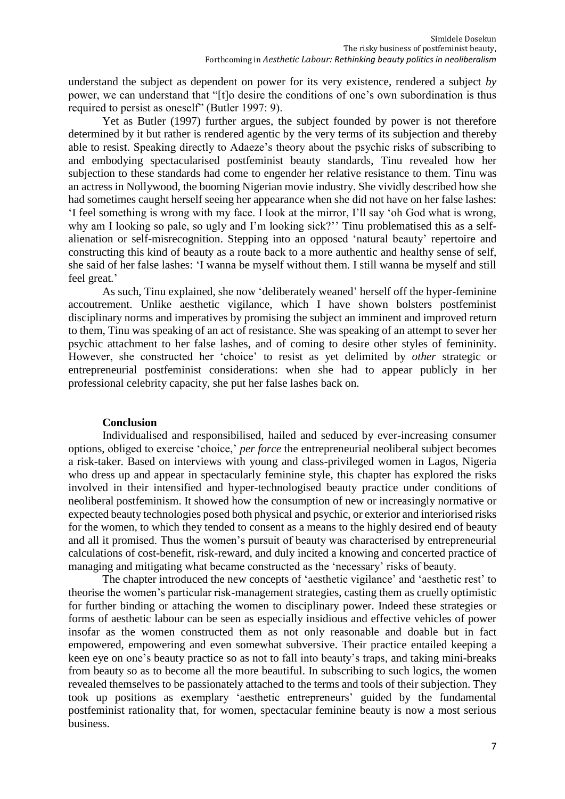understand the subject as dependent on power for its very existence, rendered a subject *by* power, we can understand that "[t]o desire the conditions of one's own subordination is thus required to persist as oneself" (Butler 1997: 9).

Yet as Butler (1997) further argues, the subject founded by power is not therefore determined by it but rather is rendered agentic by the very terms of its subjection and thereby able to resist. Speaking directly to Adaeze's theory about the psychic risks of subscribing to and embodying spectacularised postfeminist beauty standards, Tinu revealed how her subjection to these standards had come to engender her relative resistance to them. Tinu was an actress in Nollywood, the booming Nigerian movie industry. She vividly described how she had sometimes caught herself seeing her appearance when she did not have on her false lashes: 'I feel something is wrong with my face. I look at the mirror, I'll say 'oh God what is wrong, why am I looking so pale, so ugly and I'm looking sick?" Tinu problematised this as a selfalienation or self-misrecognition. Stepping into an opposed 'natural beauty' repertoire and constructing this kind of beauty as a route back to a more authentic and healthy sense of self, she said of her false lashes: 'I wanna be myself without them. I still wanna be myself and still feel great.'

As such, Tinu explained, she now 'deliberately weaned' herself off the hyper-feminine accoutrement. Unlike aesthetic vigilance, which I have shown bolsters postfeminist disciplinary norms and imperatives by promising the subject an imminent and improved return to them, Tinu was speaking of an act of resistance. She was speaking of an attempt to sever her psychic attachment to her false lashes, and of coming to desire other styles of femininity. However, she constructed her 'choice' to resist as yet delimited by *other* strategic or entrepreneurial postfeminist considerations: when she had to appear publicly in her professional celebrity capacity, she put her false lashes back on.

### **Conclusion**

Individualised and responsibilised, hailed and seduced by ever-increasing consumer options, obliged to exercise 'choice,' *per force* the entrepreneurial neoliberal subject becomes a risk-taker. Based on interviews with young and class-privileged women in Lagos, Nigeria who dress up and appear in spectacularly feminine style, this chapter has explored the risks involved in their intensified and hyper-technologised beauty practice under conditions of neoliberal postfeminism. It showed how the consumption of new or increasingly normative or expected beauty technologies posed both physical and psychic, or exterior and interiorised risks for the women, to which they tended to consent as a means to the highly desired end of beauty and all it promised. Thus the women's pursuit of beauty was characterised by entrepreneurial calculations of cost-benefit, risk-reward, and duly incited a knowing and concerted practice of managing and mitigating what became constructed as the 'necessary' risks of beauty.

The chapter introduced the new concepts of 'aesthetic vigilance' and 'aesthetic rest' to theorise the women's particular risk-management strategies, casting them as cruelly optimistic for further binding or attaching the women to disciplinary power. Indeed these strategies or forms of aesthetic labour can be seen as especially insidious and effective vehicles of power insofar as the women constructed them as not only reasonable and doable but in fact empowered, empowering and even somewhat subversive. Their practice entailed keeping a keen eye on one's beauty practice so as not to fall into beauty's traps, and taking mini-breaks from beauty so as to become all the more beautiful. In subscribing to such logics, the women revealed themselves to be passionately attached to the terms and tools of their subjection. They took up positions as exemplary 'aesthetic entrepreneurs' guided by the fundamental postfeminist rationality that, for women, spectacular feminine beauty is now a most serious business.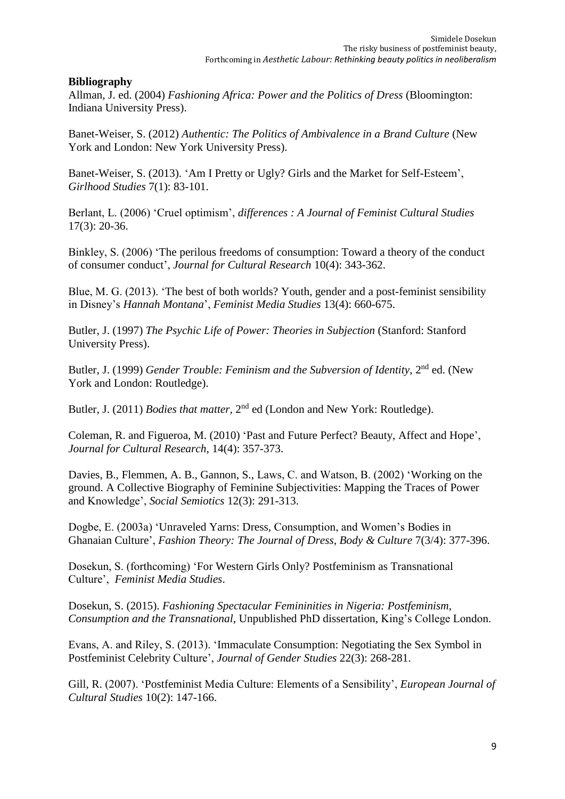# **Bibliography**

Allman, J. ed. (2004) *Fashioning Africa: Power and the Politics of Dress* (Bloomington: Indiana University Press).

Banet-Weiser, S. (2012) *Authentic: The Politics of Ambivalence in a Brand Culture* (New York and London: New York University Press).

Banet-Weiser, S. (2013). 'Am I Pretty or Ugly? Girls and the Market for Self-Esteem', *Girlhood Studies* 7(1): 83-101.

Berlant, L. (2006) 'Cruel optimism', *differences : A Journal of Feminist Cultural Studies* 17(3): 20-36.

Binkley, S. (2006) 'The perilous freedoms of consumption: Toward a theory of the conduct of consumer conduct', *Journal for Cultural Research* 10(4): 343-362.

Blue, M. G. (2013). 'The best of both worlds? Youth, gender and a post-feminist sensibility in Disney's *Hannah Montana*', *Feminist Media Studies* 13(4): 660-675.

Butler, J. (1997) *The Psychic Life of Power: Theories in Subjection* (Stanford: Stanford University Press).

Butler, J. (1999) *Gender Trouble: Feminism and the Subversion of Identity*, 2<sup>nd</sup> ed. (New York and London: Routledge).

Butler, J. (2011) *Bodies that matter*, 2<sup>nd</sup> ed (London and New York: Routledge).

Coleman, R. and Figueroa, M. (2010) 'Past and Future Perfect? Beauty, Affect and Hope', *Journal for Cultural Research*, 14(4): 357-373.

Davies, B., Flemmen, A. B., Gannon, S., Laws, C. and Watson, B. (2002) 'Working on the ground. A Collective Biography of Feminine Subjectivities: Mapping the Traces of Power and Knowledge', *Social Semiotics* 12(3): 291-313.

Dogbe, E. (2003a) 'Unraveled Yarns: Dress, Consumption, and Women's Bodies in Ghanaian Culture', *Fashion Theory: The Journal of Dress, Body & Culture* 7(3/4): 377-396.

Dosekun, S. (forthcoming) 'For Western Girls Only? Postfeminism as Transnational Culture', *Feminist Media Studies*.

Dosekun, S. (2015). *Fashioning Spectacular Femininities in Nigeria: Postfeminism, Consumption and the Transnational*, Unpublished PhD dissertation, King's College London.

Evans, A. and Riley, S. (2013). 'Immaculate Consumption: Negotiating the Sex Symbol in Postfeminist Celebrity Culture', *Journal of Gender Studies* 22(3): 268-281.

Gill, R. (2007). 'Postfeminist Media Culture: Elements of a Sensibility', *European Journal of Cultural Studies* 10(2): 147-166.